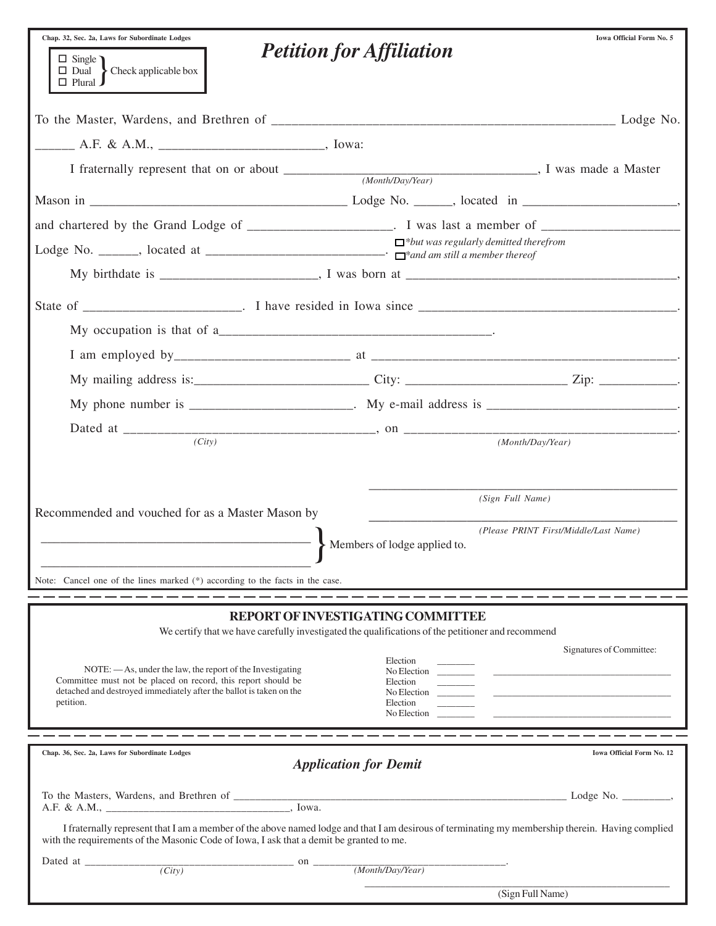| Chap. 32, Sec. 2a, Laws for Subordinate Lodges                                                                                                                                                                                              |                                                                                                                                        | Iowa Official Form No. 5              |
|---------------------------------------------------------------------------------------------------------------------------------------------------------------------------------------------------------------------------------------------|----------------------------------------------------------------------------------------------------------------------------------------|---------------------------------------|
| $\Box$ Single $\bigcap$<br>$\Box$ Dual > Check applicable box<br>$\Box$ Plural $\Box$                                                                                                                                                       | <b>Petition for Affiliation</b>                                                                                                        |                                       |
|                                                                                                                                                                                                                                             |                                                                                                                                        |                                       |
| $\frac{1}{1}$ A.F. & A.M., $\frac{1}{1}$ A.M.                                                                                                                                                                                               |                                                                                                                                        |                                       |
|                                                                                                                                                                                                                                             |                                                                                                                                        |                                       |
|                                                                                                                                                                                                                                             |                                                                                                                                        |                                       |
| and chartered by the Grand Lodge of ______________________. I was last a member of ___________________________                                                                                                                              |                                                                                                                                        |                                       |
|                                                                                                                                                                                                                                             | $\Box$ *but was regularly demitted therefrom                                                                                           |                                       |
|                                                                                                                                                                                                                                             |                                                                                                                                        |                                       |
|                                                                                                                                                                                                                                             |                                                                                                                                        |                                       |
|                                                                                                                                                                                                                                             |                                                                                                                                        |                                       |
|                                                                                                                                                                                                                                             |                                                                                                                                        |                                       |
|                                                                                                                                                                                                                                             |                                                                                                                                        |                                       |
|                                                                                                                                                                                                                                             |                                                                                                                                        |                                       |
|                                                                                                                                                                                                                                             |                                                                                                                                        |                                       |
| $\overline{(City)}$                                                                                                                                                                                                                         |                                                                                                                                        | (Month/Dav/Year)                      |
|                                                                                                                                                                                                                                             |                                                                                                                                        |                                       |
| Recommended and vouched for as a Master Mason by                                                                                                                                                                                            | (Sign Full Name)                                                                                                                       |                                       |
|                                                                                                                                                                                                                                             |                                                                                                                                        | (Please PRINT First/Middle/Last Name) |
|                                                                                                                                                                                                                                             | Members of lodge applied to.                                                                                                           |                                       |
| Note: Cancel one of the lines marked (*) according to the facts in the case.                                                                                                                                                                |                                                                                                                                        |                                       |
|                                                                                                                                                                                                                                             |                                                                                                                                        |                                       |
|                                                                                                                                                                                                                                             | REPORT OF INVESTIGATING COMMITTEE<br>We certify that we have carefully investigated the qualifications of the petitioner and recommend |                                       |
|                                                                                                                                                                                                                                             | Election                                                                                                                               | Signatures of Committee:              |
| NOTE: — As, under the law, the report of the Investigating<br>Committee must not be placed on record, this report should be                                                                                                                 | No Election<br><b>Contract Contract</b><br>Election                                                                                    |                                       |
| detached and destroyed immediately after the ballot is taken on the<br>petition.                                                                                                                                                            | No Election<br>Election                                                                                                                |                                       |
| _ _ _ _ _ _ _ _ _ _ _ _ _ _                                                                                                                                                                                                                 | No Election                                                                                                                            |                                       |
| Chap. 36, Sec. 2a, Laws for Subordinate Lodges                                                                                                                                                                                              |                                                                                                                                        | Iowa Official Form No. 12             |
|                                                                                                                                                                                                                                             | <b>Application for Demit</b>                                                                                                           |                                       |
|                                                                                                                                                                                                                                             |                                                                                                                                        |                                       |
| I fraternally represent that I am a member of the above named lodge and that I am desirous of terminating my membership therein. Having complied<br>with the requirements of the Masonic Code of Iowa, I ask that a demit be granted to me. |                                                                                                                                        |                                       |
| $\overline{(City)}$<br>$\frac{1}{\sqrt{1-\frac{1}{2}}}\cdot \sin \frac{1}{2\sqrt{1-\frac{1}{2}}\cdot \sin \frac{1}{2}}$                                                                                                                     | (Month/Day/Year)                                                                                                                       |                                       |
|                                                                                                                                                                                                                                             |                                                                                                                                        |                                       |
|                                                                                                                                                                                                                                             |                                                                                                                                        | (Sign Full Name)                      |